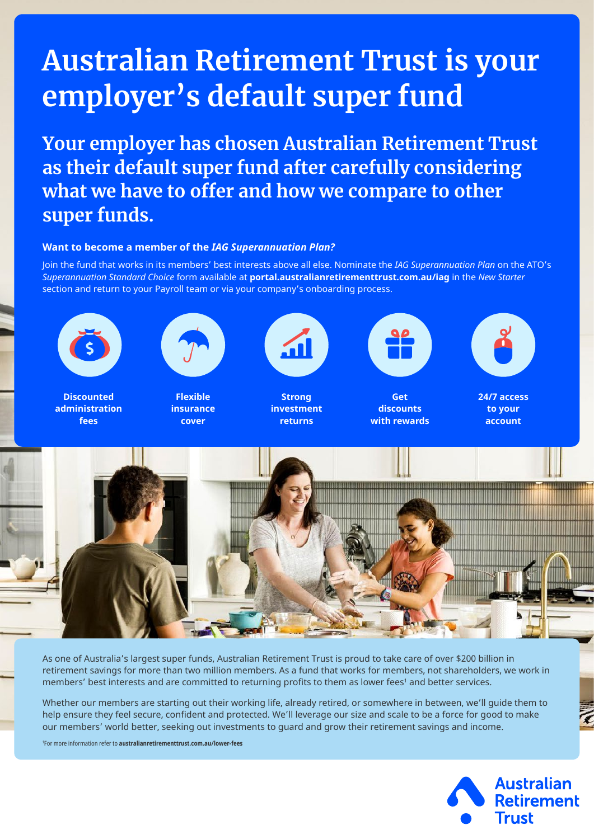# **Australian Retirement Trust is your employer's default super fund**

**Your employer has chosen Australian Retirement Trust as their default super fund after carefully considering what we have to offer and how we compare to other super funds.**

# **Want to become a member of the** *IAG Superannuation Plan?*

Join the fund that works in its members' best interests above all else. Nominate the *IAG Superannuation Plan* on the ATO's *Superannuation Standard Choice* form available at **[portal.australianretirementtrust.com.au/iag](http://portal.australianretirementtrust.com.au/iag)** in the *New Starter* section and return to your Payroll team or via your company's onboarding process.



**Discounted administration fees**



**Flexible insurance cover**



**Strong investment returns**



**Get discounts with rewards**



**24/7 access to your account**



As one of Australia's largest super funds, Australian Retirement Trust is proud to take care of over \$200 billion in retirement savings for more than two million members. As a fund that works for members, not shareholders, we work in members' best interests and are committed to returning profits to them as lower fees' and better services.

Whether our members are starting out their working life, already retired, or somewhere in between, we'll guide them to help ensure they feel secure, confident and protected. We'll leverage our size and scale to be a force for good to make our members' world better, seeking out investments to guard and grow their retirement savings and income.

1 For more information refer to **[australianretirementtrust.com.au/lower-fees](https://www.australianretirementtrust.com.au/lower-fees)**